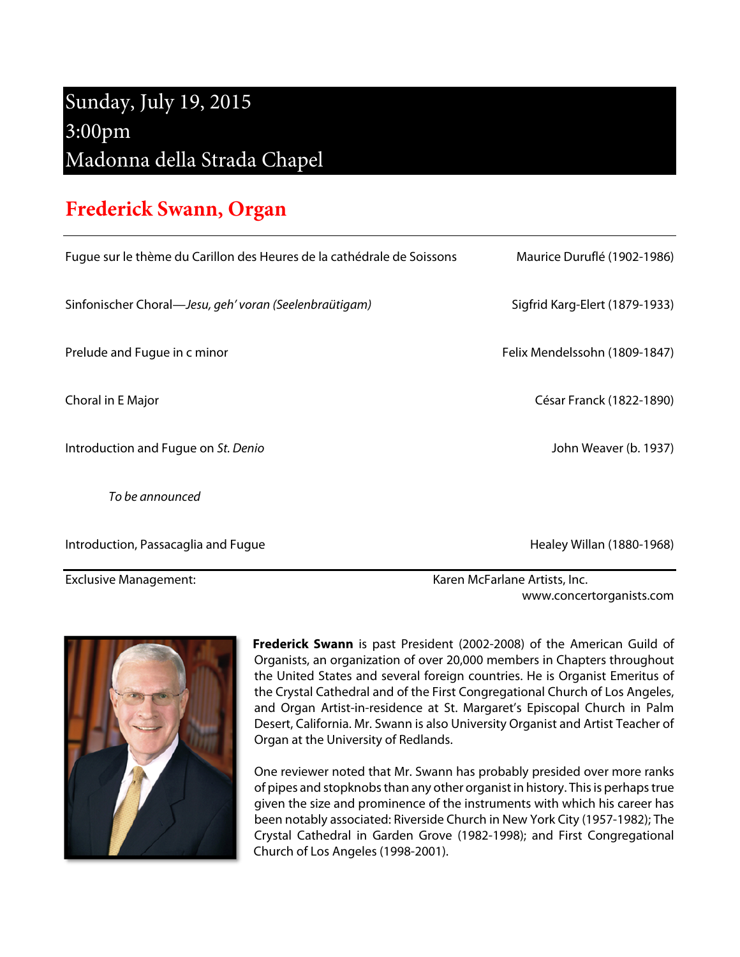## Sunday, July 19, 2015 3:00pm Madonna della Strada Chapel

## **Frederick Swann, Organ**

| <b>Exclusive Management:</b>                                           | Karen McFarlane Artists, Inc.  |
|------------------------------------------------------------------------|--------------------------------|
| Introduction, Passacaglia and Fugue                                    | Healey Willan (1880-1968)      |
| To be announced                                                        |                                |
| Introduction and Fugue on St. Denio                                    | John Weaver (b. 1937)          |
| Choral in E Major                                                      | César Franck (1822-1890)       |
| Prelude and Fugue in c minor                                           | Felix Mendelssohn (1809-1847)  |
| Sinfonischer Choral—Jesu, geh' voran (Seelenbraütigam)                 | Sigfrid Karg-Elert (1879-1933) |
| Fugue sur le thème du Carillon des Heures de la cathédrale de Soissons | Maurice Duruflé (1902-1986)    |

**Frederick Swann** is past President (2002-2008) of the American Guild of Organists, an organization of over 20,000 members in Chapters throughout the United States and several foreign countries. He is Organist Emeritus of the Crystal Cathedral and of the First Congregational Church of Los Angeles, and Organ Artist-in-residence at St. Margaret's Episcopal Church in Palm Desert, California. Mr. Swann is also University Organist and Artist Teacher of Organ at the University of Redlands.

www.concertorganists.com

One reviewer noted that Mr. Swann has probably presided over more ranks of pipes and stopknobs than any other organist in history. This is perhaps true given the size and prominence of the instruments with which his career has been notably associated: Riverside Church in New York City (1957-1982); The Crystal Cathedral in Garden Grove (1982-1998); and First Congregational Church of Los Angeles (1998-2001).